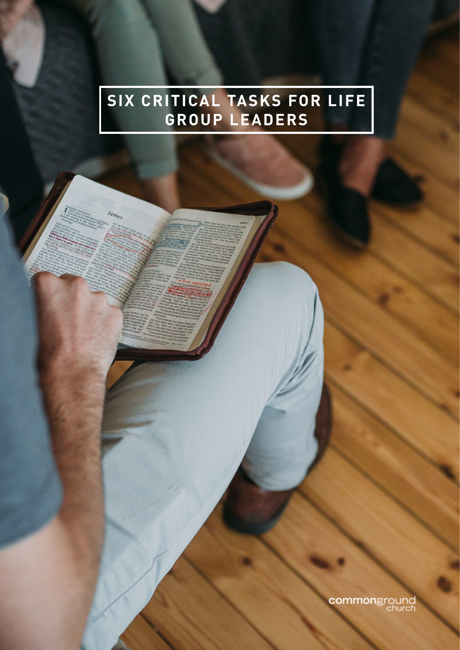## **SIX CRITICAL TASKS FOR LIFE GROUP LEADERS**

commonground<br>church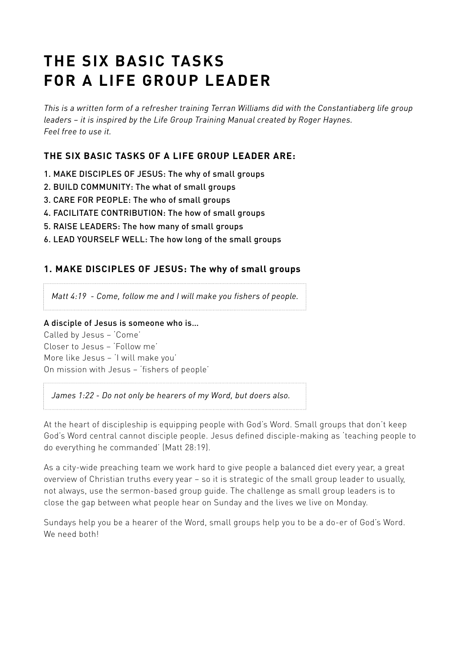# **THE SIX BASIC TASKS FOR A LIFE GROUP LEADER**

*This is a written form of a refresher training Terran Williams did with the Constantiaberg life group leaders – it is inspired by the Life Group Training Manual created by Roger Haynes. Feel free to use it.*

## **THE SIX BASIC TASKS OF A LIFE GROUP LEADER ARE:**

- 1. MAKE DISCIPLES OF JESUS: The why of small groups
- 2. BUILD COMMUNITY: The what of small groups
- 3. CARE FOR PEOPLE: The who of small groups
- 4. FACILITATE CONTRIBUTION: The how of small groups
- 5. RAISE LEADERS: The how many of small groups
- 6. LEAD YOURSELF WELL: The how long of the small groups

#### **1. MAKE DISCIPLES OF JESUS: The why of small groups**

*Matt 4:19 - Come, follow me and I will make you fishers of people.* 

#### A disciple of Jesus is someone who is…

Called by Jesus – 'Come' Closer to Jesus – 'Follow me' More like Jesus – 'I will make you' On mission with Jesus – 'fishers of people'

*James 1:22 - Do not only be hearers of my Word, but doers also.*

At the heart of discipleship is equipping people with God's Word. Small groups that don't keep God's Word central cannot disciple people. Jesus defined disciple-making as 'teaching people to do everything he commanded' (Matt 28:19).

As a city-wide preaching team we work hard to give people a balanced diet every year, a great overview of Christian truths every year – so it is strategic of the small group leader to usually, not always, use the sermon-based group guide. The challenge as small group leaders is to close the gap between what people hear on Sunday and the lives we live on Monday.

Sundays help you be a hearer of the Word, small groups help you to be a do-er of God's Word. We need both!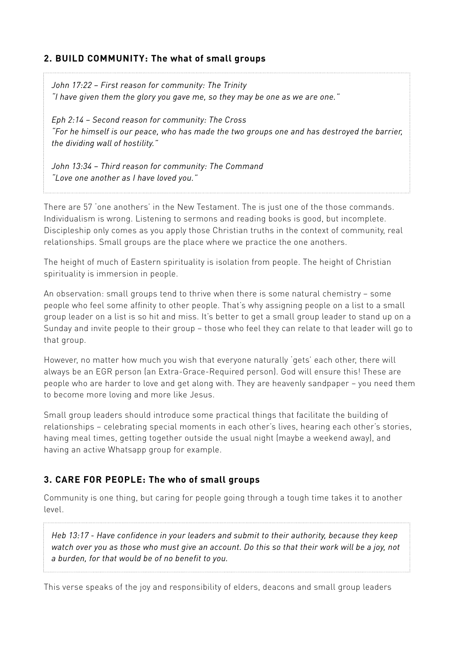#### **2. BUILD COMMUNITY: The what of small groups**

*John 17:22 – First reason for community: The Trinity "I have given them the glory you gave me, so they may be one as we are one."*

*Eph 2:14 – Second reason for community: The Cross "For he himself is our peace, who has made the two groups one and has destroyed the barrier, the dividing wall of hostility."*

*John 13:34 – Third reason for community: The Command "Love one another as I have loved you."* 

There are 57 'one anothers' in the New Testament. The is just one of the those commands. Individualism is wrong. Listening to sermons and reading books is good, but incomplete. Discipleship only comes as you apply those Christian truths in the context of community, real relationships. Small groups are the place where we practice the one anothers.

The height of much of Eastern spirituality is isolation from people. The height of Christian spirituality is immersion in people.

An observation: small groups tend to thrive when there is some natural chemistry – some people who feel some affinity to other people. That's why assigning people on a list to a small group leader on a list is so hit and miss. It's better to get a small group leader to stand up on a Sunday and invite people to their group – those who feel they can relate to that leader will go to that group.

However, no matter how much you wish that everyone naturally 'gets' each other, there will always be an EGR person (an Extra-Grace-Required person). God will ensure this! These are people who are harder to love and get along with. They are heavenly sandpaper – you need them to become more loving and more like Jesus.

Small group leaders should introduce some practical things that facilitate the building of relationships – celebrating special moments in each other's lives, hearing each other's stories, having meal times, getting together outside the usual night (maybe a weekend away), and having an active Whatsapp group for example.

#### **3. CARE FOR PEOPLE: The who of small groups**

Community is one thing, but caring for people going through a tough time takes it to another level.

*Heb 13:17 - Have confidence in your leaders and submit to their authority, because they keep watch over you as those who must give an account. Do this so that their work will be a joy, not a burden, for that would be of no benefit to you.* 

This verse speaks of the joy and responsibility of elders, deacons and small group leaders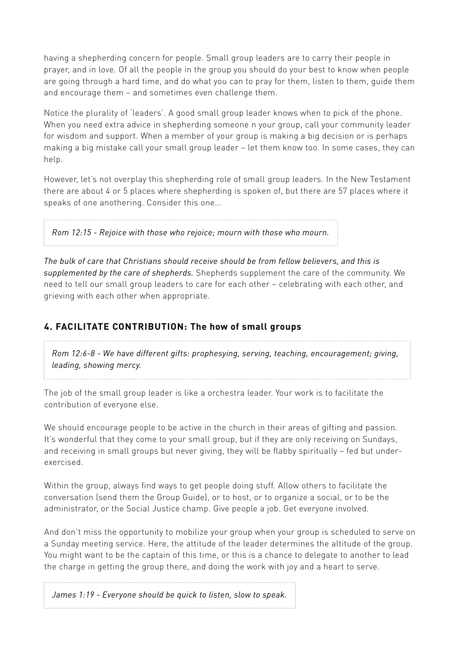having a shepherding concern for people. Small group leaders are to carry their people in prayer, and in love. Of all the people in the group you should do your best to know when people are going through a hard time, and do what you can to pray for them, listen to them, guide them and encourage them – and sometimes even challenge them.

Notice the plurality of 'leaders'. A good small group leader knows when to pick of the phone. When you need extra advice in shepherding someone n your group, call your community leader for wisdom and support. When a member of your group is making a big decision or is perhaps making a big mistake call your small group leader – let them know too. In some cases, they can help.

However, let's not overplay this shepherding role of small group leaders. In the New Testament there are about 4 or 5 places where shepherding is spoken of, but there are 57 places where it speaks of one anothering. Consider this one…

*Rom 12:15 - Rejoice with those who rejoice; mourn with those who mourn.* 

*The bulk of care that Christians should receive should be from fellow believers, and this is supplemented by the care of shepherds.* Shepherds supplement the care of the community. We need to tell our small group leaders to care for each other – celebrating with each other, and grieving with each other when appropriate.

## **4. FACILITATE CONTRIBUTION: The how of small groups**

*Rom 12:6-8 - We have different gifts: prophesying, serving, teaching, encouragement; giving, leading, showing mercy.*

The job of the small group leader is like a orchestra leader. Your work is to facilitate the contribution of everyone else.

We should encourage people to be active in the church in their areas of gifting and passion. It's wonderful that they come to your small group, but if they are only receiving on Sundays, and receiving in small groups but never giving, they will be flabby spiritually – fed but underexercised.

Within the group, always find ways to get people doing stuff. Allow others to facilitate the conversation (send them the Group Guide), or to host, or to organize a social, or to be the administrator, or the Social Justice champ. Give people a job. Get everyone involved.

And don't miss the opportunity to mobilize your group when your group is scheduled to serve on a Sunday meeting service. Here, the attitude of the leader determines the altitude of the group. You might want to be the captain of this time, or this is a chance to delegate to another to lead the charge in getting the group there, and doing the work with joy and a heart to serve.

*James 1:19 - Everyone should be quick to listen, slow to speak.*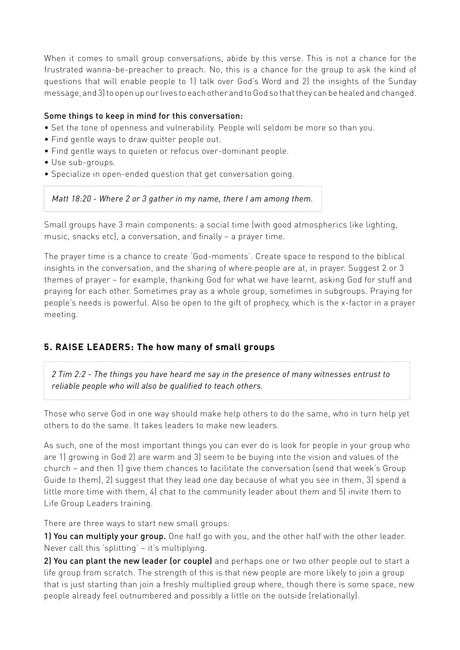When it comes to small group conversations, abide by this verse. This is not a chance for the frustrated wanna-be-preacher to preach. No, this is a chance for the group to ask the kind of questions that will enable people to 1) talk over God's Word and 2) the insights of the Sunday message, and 3) to open up our lives to each other and to God so that they can be healed and changed.

#### Some things to keep in mind for this conversation:

- Set the tone of openness and vulnerability. People will seldom be more so than you.
- Find gentle ways to draw quitter people out.
- Find gentle ways to quieten or refocus over-dominant people.
- Use sub-groups.
- Specialize in open-ended question that get conversation going.

#### *Matt 18:20 - Where 2 or 3 gather in my name, there I am among them.*

Small groups have 3 main components: a social time (with good atmospherics like lighting, music, snacks etc), a conversation, and finally – a prayer time.

The prayer time is a chance to create 'God-moments'. Create space to respond to the biblical insights in the conversation, and the sharing of where people are at, in prayer. Suggest 2 or 3 themes of prayer – for example, thanking God for what we have learnt, asking God for stuff and praying for each other. Sometimes pray as a whole group, sometimes in subgroups. Praying for people's needs is powerful. Also be open to the gift of prophecy, which is the x-factor in a prayer meeting.

#### **5. RAISE LEADERS: The how many of small groups**

*2 Tim 2:2 - The things you have heard me say in the presence of many witnesses entrust to reliable people who will also be qualified to teach others.*

Those who serve God in one way should make help others to do the same, who in turn help yet others to do the same. It takes leaders to make new leaders.

As such, one of the most important things you can ever do is look for people in your group who are 1) growing in God 2) are warm and 3) seem to be buying into the vision and values of the church – and then 1) give them chances to facilitate the conversation (send that week's Group Guide to them), 2) suggest that they lead one day because of what you see in them, 3) spend a little more time with them, 4) chat to the community leader about them and 5) invite them to Life Group Leaders training.

There are three ways to start new small groups:

1) You can multiply your group. One half go with you, and the other half with the other leader. Never call this 'splitting' – it's multiplying.

2) You can plant the new leader (or couple) and perhaps one or two other people out to start a life group from scratch. The strength of this is that new people are more likely to join a group that is just starting than join a freshly multiplied group where, though there is some space, new people already feel outnumbered and possibly a little on the outside (relationally).